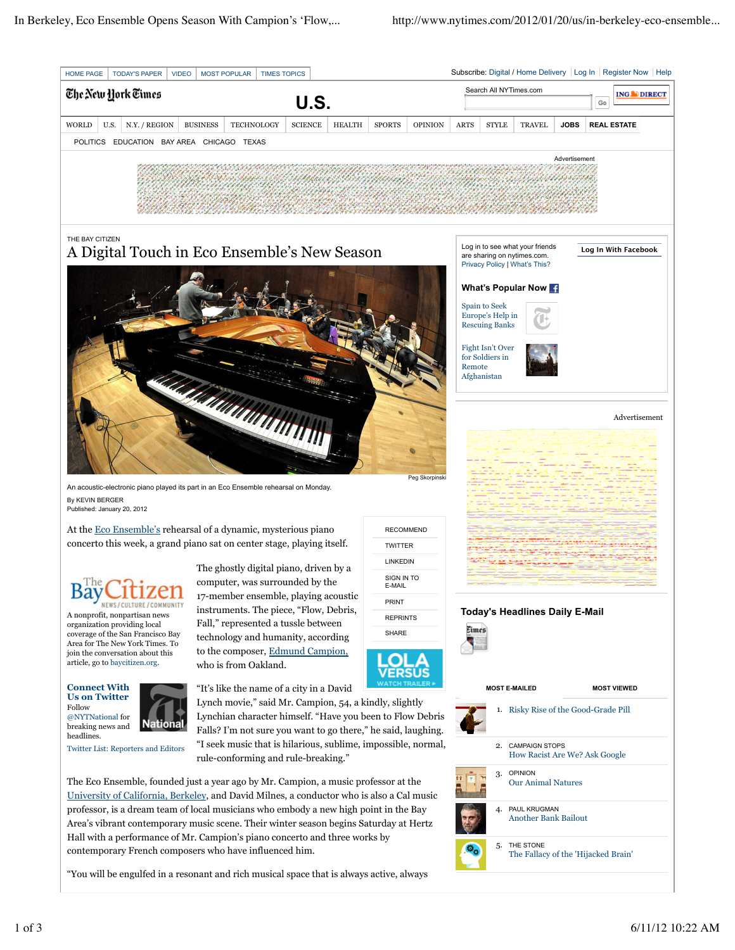